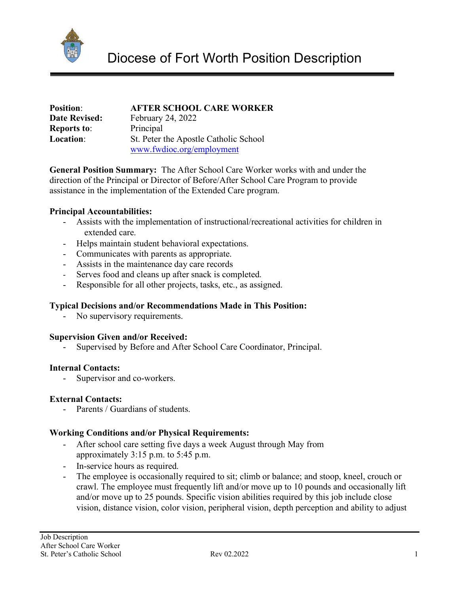

| <b>Position:</b>     | <b>AFTER SCHOOL CARE WORKER</b>       |
|----------------------|---------------------------------------|
| <b>Date Revised:</b> | <b>February 24, 2022</b>              |
| <b>Reports to:</b>   | Principal                             |
| <b>Location:</b>     | St. Peter the Apostle Catholic School |
|                      | www.fwdioc.org/employment             |

**General Position Summary:** The After School Care Worker works with and under the direction of the Principal or Director of Before/After School Care Program to provide assistance in the implementation of the Extended Care program.

## **Principal Accountabilities:**

- Assists with the implementation of instructional/recreational activities for children in extended care.
- Helps maintain student behavioral expectations.
- Communicates with parents as appropriate.
- Assists in the maintenance day care records
- Serves food and cleans up after snack is completed.
- Responsible for all other projects, tasks, etc., as assigned.

## **Typical Decisions and/or Recommendations Made in This Position:**

No supervisory requirements.

#### **Supervision Given and/or Received:**

Supervised by Before and After School Care Coordinator, Principal.

## **Internal Contacts:**

- Supervisor and co-workers.

#### **External Contacts:**

Parents / Guardians of students.

#### **Working Conditions and/or Physical Requirements:**

- After school care setting five days a week August through May from approximately 3:15 p.m. to 5:45 p.m.
- In-service hours as required.
- The employee is occasionally required to sit; climb or balance; and stoop, kneel, crouch or crawl. The employee must frequently lift and/or move up to 10 pounds and occasionally lift and/or move up to 25 pounds. Specific vision abilities required by this job include close vision, distance vision, color vision, peripheral vision, depth perception and ability to adjust